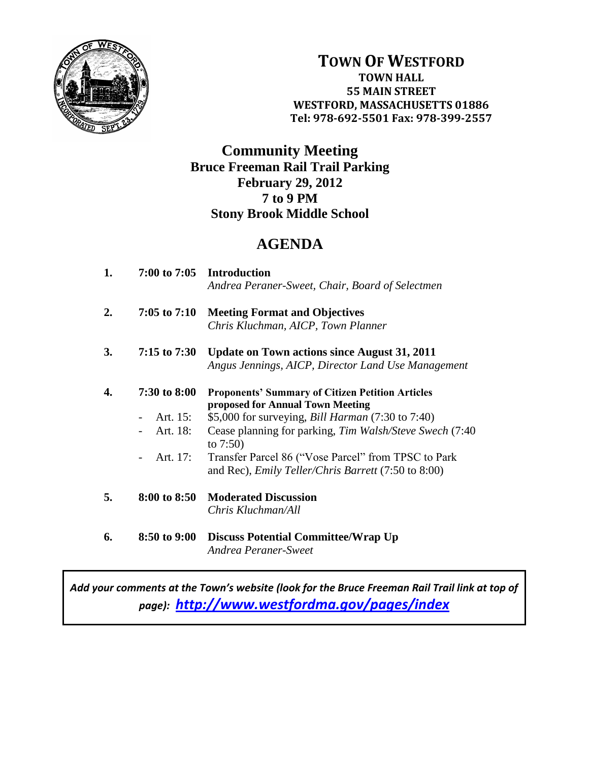

**TOWN OF WESTFORD TOWN HALL 55 MAIN STREET WESTFORD, MASSACHUSETTS 01886 Tel: 978-692-5501 Fax: 978-399-2557**

## **Community Meeting Bruce Freeman Rail Trail Parking February 29, 2012 7 to 9 PM Stony Brook Middle School**

## **AGENDA**

| 1. |                               | 7:00 to 7:05 Introduction<br>Andrea Peraner-Sweet, Chair, Board of Selectmen                                      |
|----|-------------------------------|-------------------------------------------------------------------------------------------------------------------|
| 2. | $7:05$ to $7:10$              | <b>Meeting Format and Objectives</b><br>Chris Kluchman, AICP, Town Planner                                        |
|    |                               |                                                                                                                   |
| 3. | $7:15$ to $7:30$              | <b>Update on Town actions since August 31, 2011</b>                                                               |
|    |                               | Angus Jennings, AICP, Director Land Use Management                                                                |
| 4. | 7:30 to 8:00                  | <b>Proponents' Summary of Citizen Petition Articles</b><br>proposed for Annual Town Meeting                       |
|    | Art. 15:                      | \$5,000 for surveying, <i>Bill Harman</i> (7:30 to 7:40)                                                          |
|    | Art. 18:                      | Cease planning for parking, Tim Walsh/Steve Swech (7:40)<br>to $7:50$ )                                           |
|    | Art. 17:<br>$\qquad \qquad -$ | Transfer Parcel 86 ("Vose Parcel" from TPSC to Park<br>and Rec), <i>Emily Teller/Chris Barrett</i> (7:50 to 8:00) |
|    |                               |                                                                                                                   |
| 5. | 8:00 to 8:50                  | <b>Moderated Discussion</b>                                                                                       |
|    |                               | Chris Kluchman/All                                                                                                |
| 6. | 8:50 to 9:00                  | <b>Discuss Potential Committee/Wrap Up</b><br>Andrea Peraner-Sweet                                                |

*Add your comments at the Town's website (look for the Bruce Freeman Rail Trail link at top of page): <http://www.westfordma.gov/pages/index>*